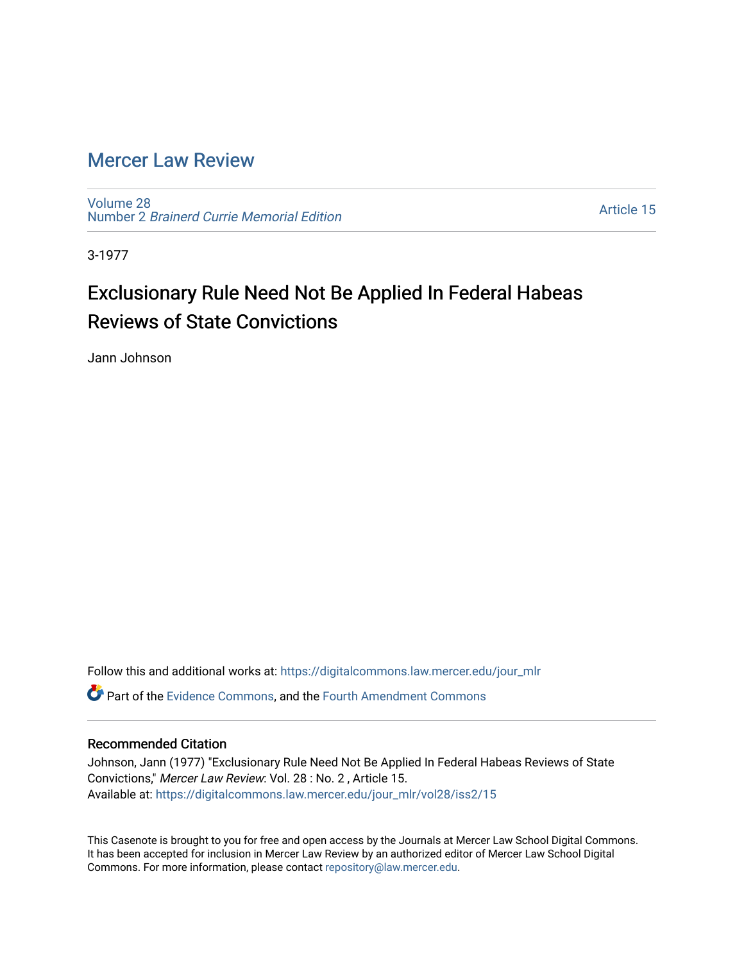## [Mercer Law Review](https://digitalcommons.law.mercer.edu/jour_mlr)

[Volume 28](https://digitalcommons.law.mercer.edu/jour_mlr/vol28) Number 2 [Brainerd Currie Memorial Edition](https://digitalcommons.law.mercer.edu/jour_mlr/vol28/iss2) 

[Article 15](https://digitalcommons.law.mercer.edu/jour_mlr/vol28/iss2/15) 

3-1977

## Exclusionary Rule Need Not Be Applied In Federal Habeas Reviews of State Convictions

Jann Johnson

Follow this and additional works at: [https://digitalcommons.law.mercer.edu/jour\\_mlr](https://digitalcommons.law.mercer.edu/jour_mlr?utm_source=digitalcommons.law.mercer.edu%2Fjour_mlr%2Fvol28%2Fiss2%2F15&utm_medium=PDF&utm_campaign=PDFCoverPages)

**P** Part of the [Evidence Commons,](http://network.bepress.com/hgg/discipline/601?utm_source=digitalcommons.law.mercer.edu%2Fjour_mlr%2Fvol28%2Fiss2%2F15&utm_medium=PDF&utm_campaign=PDFCoverPages) and the [Fourth Amendment Commons](http://network.bepress.com/hgg/discipline/1180?utm_source=digitalcommons.law.mercer.edu%2Fjour_mlr%2Fvol28%2Fiss2%2F15&utm_medium=PDF&utm_campaign=PDFCoverPages)

## Recommended Citation

Johnson, Jann (1977) "Exclusionary Rule Need Not Be Applied In Federal Habeas Reviews of State Convictions," Mercer Law Review: Vol. 28 : No. 2 , Article 15. Available at: [https://digitalcommons.law.mercer.edu/jour\\_mlr/vol28/iss2/15](https://digitalcommons.law.mercer.edu/jour_mlr/vol28/iss2/15?utm_source=digitalcommons.law.mercer.edu%2Fjour_mlr%2Fvol28%2Fiss2%2F15&utm_medium=PDF&utm_campaign=PDFCoverPages) 

This Casenote is brought to you for free and open access by the Journals at Mercer Law School Digital Commons. It has been accepted for inclusion in Mercer Law Review by an authorized editor of Mercer Law School Digital Commons. For more information, please contact [repository@law.mercer.edu.](mailto:repository@law.mercer.edu)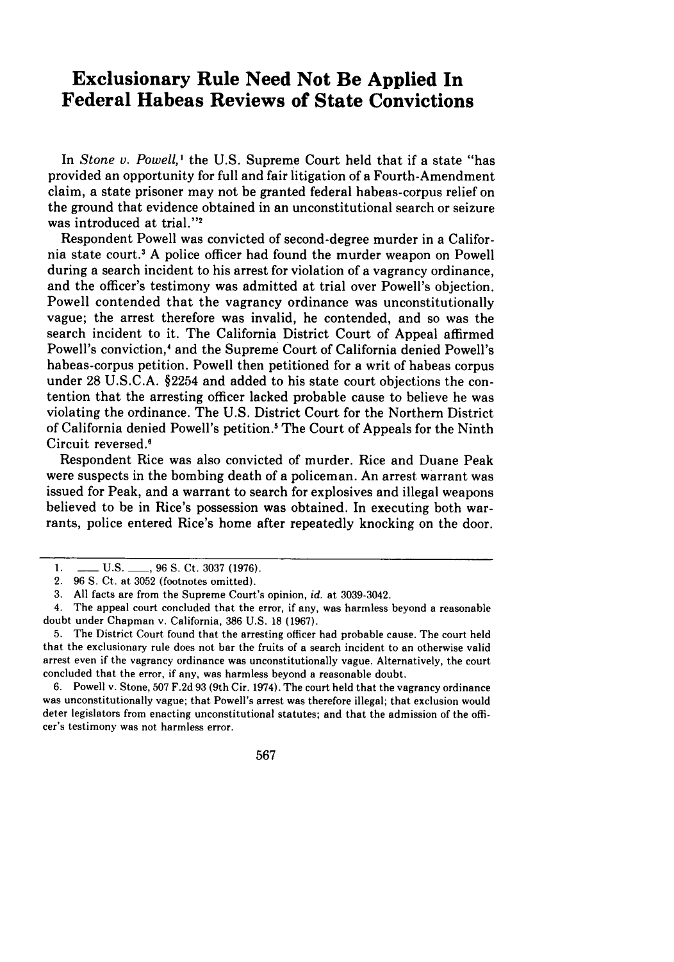## **Exclusionary Rule Need Not Be Applied In Federal Habeas Reviews of State Convictions**

In *Stone v. Powell*,<sup>1</sup> the U.S. Supreme Court held that if a state "has provided an opportunity for full and fair litigation of a Fourth-Amendment claim, a state prisoner may not be granted federal habeas-corpus relief on the ground that evidence obtained in an unconstitutional search or seizure was introduced at trial."2

Respondent Powell was convicted of second-degree murder in a California state court.' A police officer had found the murder weapon on Powell during a search incident to his arrest for violation of a vagrancy ordinance, and the officer's testimony was admitted at trial over Powell's objection. Powell contended that the vagrancy ordinance was unconstitutionally vague; the arrest therefore was invalid, he contended, and so was the search incident to it. The California District Court of Appeal affirmed Powell's conviction,4 and the Supreme Court of California denied Powell's habeas-corpus petition. Powell then petitioned for a writ of habeas corpus under 28 U.S.C.A. §2254 and added to his state court objections the contention that the arresting officer lacked probable cause to believe he was violating the ordinance. The U.S. District Court for the Northern District of California denied Powell's petition.' The Court of Appeals for the Ninth Circuit reversed.<sup>6</sup>

Respondent Rice was also convicted of murder. Rice and Duane Peak were suspects in the bombing death of a policeman. An arrest warrant was issued for Peak, and a warrant to search for explosives and illegal weapons believed to be in Rice's possession was obtained. In executing both warrants, police entered Rice's home after repeatedly knocking on the door.

6. Powell v. Stone, 507 F.2d 93 (9th Cir. 1974). The court held that the vagrancy ordinance was unconstitutionally vague; that Powell's arrest was therefore illegal; that exclusion would deter legislators from enacting unconstitutional statutes; and that the admission of the officer's testimony was not harmless error.

567

<sup>1.</sup> **\_\_ U.S.** \_\_\_, 96 S. Ct. 3037 (1976).

<sup>2. 96</sup> S. Ct. at 3052 (footnotes omitted).

<sup>3.</sup> All facts are from the Supreme Court's opinion, *id.* at 3039-3042.

<sup>4.</sup> The appeal court concluded that the error, if any, was harmless beyond a reasonable doubt under Chapman v. California, 386 U.S. 18 (1967).

<sup>5.</sup> The District Court found that the arresting officer had probable cause. The court held that the exclusionary rule does not bar the fruits of a search incident to an otherwise valid arrest even if the vagrancy ordinance was unconstitutionally vague. Alternatively, the court concluded that the error, if any, was harmless beyond a reasonable doubt.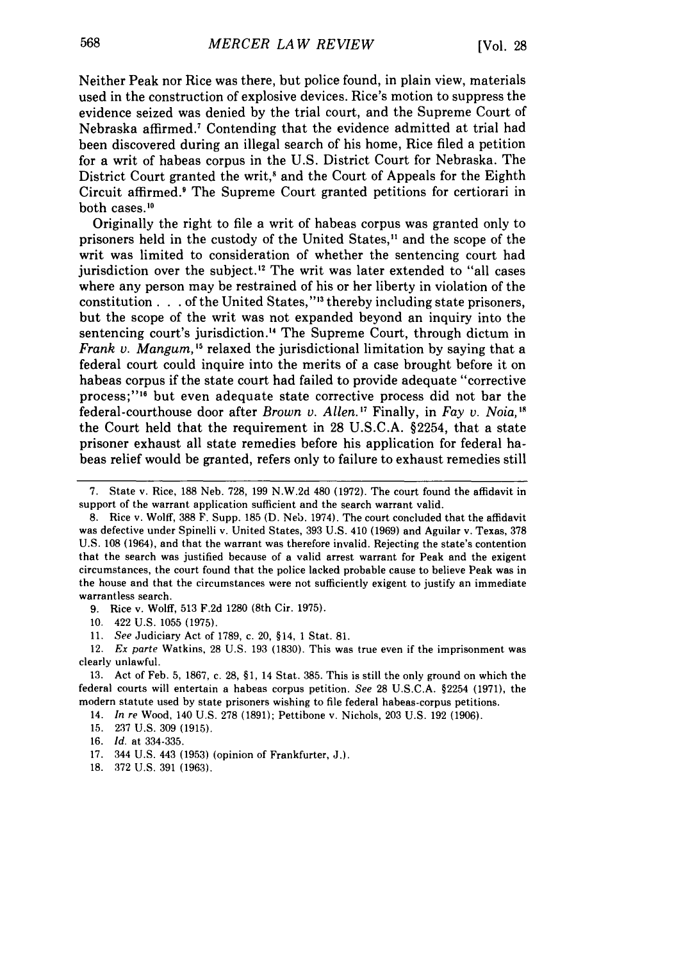Neither Peak nor Rice was there, but police found, in plain view, materials used in the construction of explosive devices. Rice's motion to suppress the evidence seized was denied by the trial court, and the Supreme Court of Nebraska affirmed.7 Contending that the evidence admitted at trial had been discovered during an illegal search of his home, Rice filed a petition for a writ of habeas corpus in the U.S. District Court for Nebraska. The District Court granted the writ,<sup>8</sup> and the Court of Appeals for the Eighth Circuit affirmed.' The Supreme Court granted petitions for certiorari in both cases.<sup>10</sup>

Originally the right to file a writ of habeas corpus was granted only to prisoners held in the custody of the United States," and the scope of the writ was limited to consideration of whether the sentencing court had jurisdiction over the subject.<sup>12</sup> The writ was later extended to "all cases where any person may be restrained of his or her liberty in violation of the constitution **. . .** of the United States," 3 thereby including state prisoners, but the scope of the writ was not expanded beyond an inquiry into the sentencing court's jurisdiction.<sup>14</sup> The Supreme Court, through dictum in *Frank v. Mangum,'5* relaxed the jurisdictional limitation by saying that a federal court could inquire into the merits of a case brought before it on habeas corpus if the state court had failed to provide adequate "corrective process;"' 6 but even adequate state corrective process did not bar the federal-courthouse door after *Brown v. Allen.'7* Finally, in *Fay v. Noia,1'* the Court held that the requirement in 28 U.S.C.A. §2254, that a state prisoner exhaust all state remedies before his application for federal habeas relief would be granted, refers only to failure to exhaust remedies still

9. Rice v. Wolff, 513 F.2d 1280 (8th Cir. 1975).

10. 422 U.S. 1055 (1975).

11. *See* Judiciary Act of 1789, c. 20, §14, 1 Stat. 81.

12. *Ex parte* Watkins, 28 U.S. 193 (1830). This was true even if the imprisonment was clearly unlawful.

14. *In re* Wood, 140 U.S. 278 (1891); Pettibone v. Nichols, 203 U.S. 192 (1906).

16. *Id.* at 334-335.

18. 372 U.S. 391 (1963).

<sup>7.</sup> State v. Rice, 188 Neb. 728, 199 N.W.2d 480 (1972). The court found the affidavit in support of the warrant application sufficient and the search warrant valid.

<sup>8.</sup> Rice v. Wolff, 388 F. Supp. 185 **(D.** Neb. 1974). The court concluded that the affidavit was defective under Spinelli v. United States, 393 U.S. 410 (1969) and Aguilar v, Texas, 378 U.S. 108 (1964), and that the warrant was therefore invalid. Rejecting the state's contention that the search was justified because of a valid arrest warrant for Peak and the exigent circumstances, the court found that the police lacked probable cause to believe Peak was in the house and that the circumstances were not sufficiently exigent to justify an immediate warrantless search.

<sup>13.</sup> Act of Feb. 5, 1867, c. 28, §1, 14 Stat. 385. This is still the only ground on which the federal courts will entertain a habeas corpus petition. *See* 28 U.S.C.A. §2254 (1971), the modern statute used by state prisoners wishing to file federal habeas-corpus petitions.

<sup>15. 237</sup> U.S. 309 (1915).

<sup>17. 344</sup> U.S. 443 (1953) (opinion of Frankfurter, J.).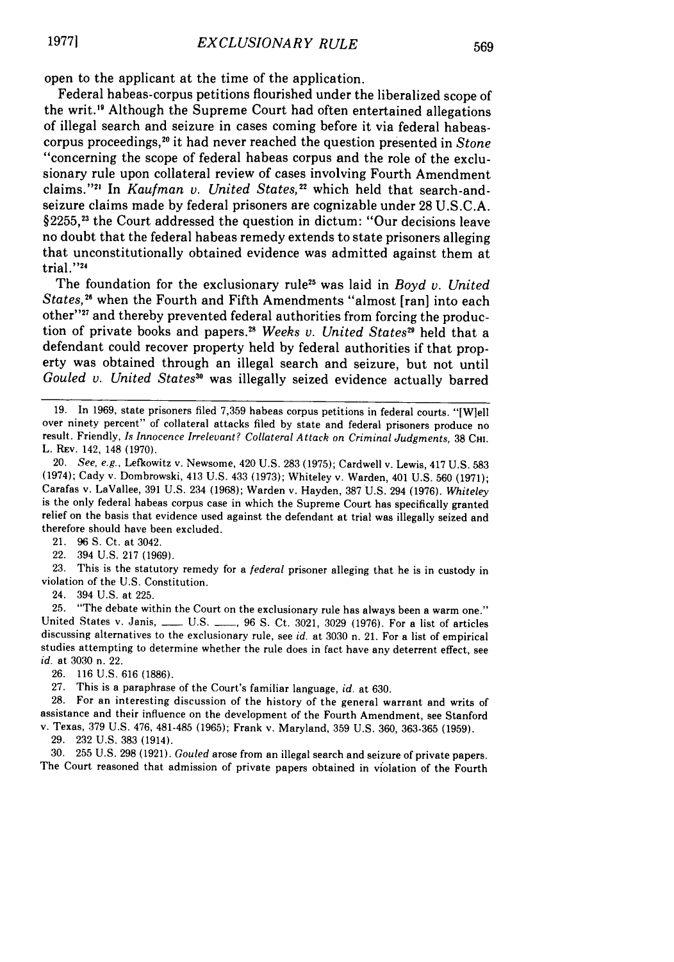open to the applicant at the time of the application.

Federal habeas-corpus petitions flourished under the liberalized scope of the writ."9 Although the Supreme Court had often entertained allegations of illegal search and seizure in cases coming before it via federal habeascorpus proceedings,<sup>20</sup> it had never reached the question presented in *Stone* "concerning the scope of federal habeas corpus and the role of the exclusionary rule upon collateral review of cases involving Fourth Amendment claims."<sup>21</sup> In *Kaufman v. United States*,<sup>22</sup> which held that search-andseizure claims made by federal prisoners are cognizable under 28 U.S.C.A.  $§2255$ ,<sup>23</sup> the Court addressed the question in dictum: "Our decisions leave no doubt that the federal habeas remedy extends to state prisoners alleging that unconstitutionally obtained evidence was admitted against them at trial."<sup>24</sup>

The foundation for the exclusionary rule<sup>25</sup> was laid in *Boyd v. United States*,<sup>26</sup> when the Fourth and Fifth Amendments "almost [ran] into each other"<sup>27</sup> and thereby prevented federal authorities from forcing the production of private books and papers." *Weeks v. United States29* held that a defendant could recover property held by federal authorities if that property was obtained through an illegal search and seizure, but not until Gouled v. United States<sup>30</sup> was illegally seized evidence actually barred

21. 96 **S.** Ct. at 3042.

22. 394 U.S. 217 (1969).

23. This is the statutory remedy for a *federal* prisoner alleging that he is in custody in violation of the U.S. Constitution.

24. 394 U.S. at 225.

25. "The debate within the Court on the exclusionary rule has always been a warm one." United States v. Janis, \_\_\_\_ U.S. \_\_\_, 96 S. Ct. 3021, 3029 (1976). For a list of articles discussing alternatives to the exclusionary rule, see *id.* at 3030 n. 21. For a list of empirical studies attempting to determine whether the rule does in fact have any deterrent effect, see *id.* at 3030 n. 22.

26. 116 U.S. 616 (1886).

27. This is a paraphrase of the Court's familiar language, *id.* at 630.

28. For an interesting discussion of the history of the general warrant and writs of assistance and their influence on the development of the Fourth Amendment, see Stanford v. Texas, 379 U.S. 476, 481-485 (1965); Frank v. Maryland, 359 U.S. 360, 363-365 (1959).

29. 232 U.S. 383 (1914).

30. 255 U.S. 298 (1921). Gouled arose from an illegal search and seizure of private papers. The Court reasoned that admission of private papers obtained in violation of the Fourth

<sup>19.</sup> In 1969, state prisoners filed 7,359 habeas corpus petitions in federal courts. "[W]ell over ninety percent" of collateral attacks filed by state and federal prisoners produce no result. Friendly, Is Innocence Irreleva L. REV. 142, 148 (1970).

<sup>20.</sup> *See, e.g.,* Lefkowitz v. Newsome, 420 U.S. 283 (1975); Cardwell v. Lewis, 417 U.S. 583 (1974); Cady v. Dombrowski, 413 U.S. 433 (1973); Whiteley v. Warden, 401 U.S. 560 (1971); Carafas v. LaVallee, 391 U.S. 234 (1968); Warden v. Hayden, 387 U.S. 294 (1976). *Whiteley* is the only federal habeas corpus case in which the Supreme Court has specifically granted relief on the basis that evidence used against the defendant at trial was illegally seized and therefore should have been excluded.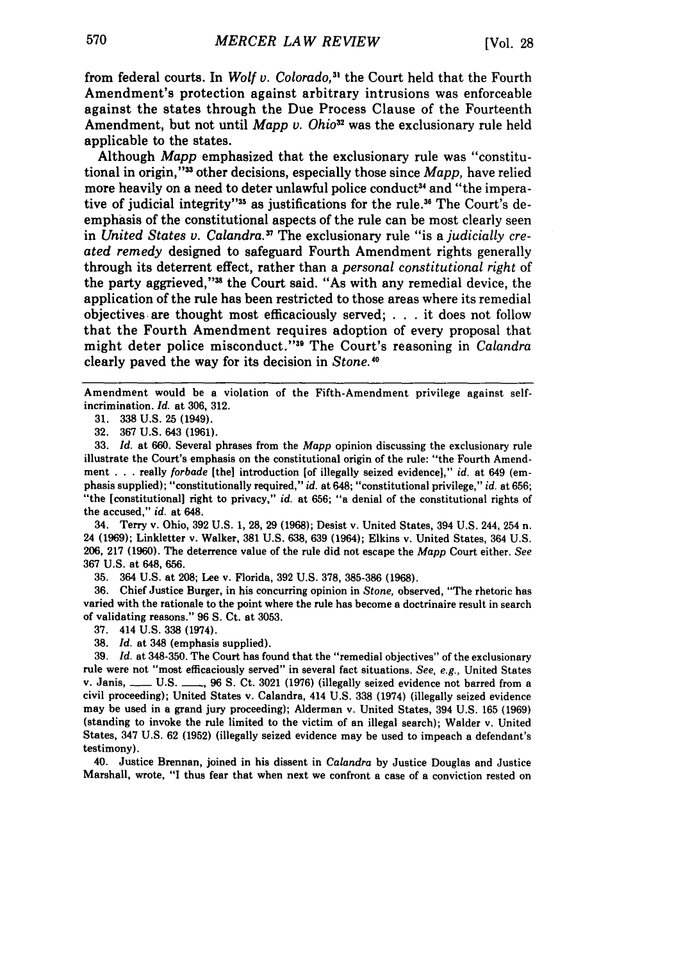from federal courts. In *Wolf v. Colorado*,<sup>31</sup> the Court held that the Fourth Amendment's protection against arbitrary intrusions was enforceable against the states through the Due Process Clause of the Fourteenth Amendment, but not until *Mapp v. Ohio*<sup>32</sup> was the exclusionary rule held applicable to the states.

Although *Mapp* emphasized that the exclusionary rule was "constitutional in origin,"<sup>33</sup> other decisions, especially those since *Mapp*, have relied more heavily on a need to deter unlawful police conduct<sup>34</sup> and "the imperative of judicial integrity"<sup>35</sup> as justifications for the rule.<sup>36</sup> The Court's deemphasis of the constitutional aspects of the rule can be most clearly seen in *United States v. Calandra."* The exclusionary rule "is a *judicially created remedy* designed to safeguard Fourth Amendment rights generally through its deterrent effect, rather than a *personal constitutional right* of the party aggrieved,"<sup>38</sup> the Court said. "As with any remedial device, the application of the rule has been restricted to those areas where its remedial objectives. are thought most efficaciously served; . **. .**it does not follow that the Fourth Amendment requires adoption of every proposal that might deter police misconduct."<sup>39</sup> The Court's reasoning in *Calandra* clearly paved the way for its decision in *Stone.'0*

Amendment would be a violation of the Fifth-Amendment privilege against selfincrimination. *Id.* at 306, 312.

32. 367 U.S. 643 (1961).

33. *Id.* at 660. Several phrases from the *Mapp* opinion discussing the exclusionary rule illustrate the Court's emphasis on the constitutional origin of the rule: "the Fourth Amendment . ..really *forbade* [the] introduction [of illegally seized evidence]," *id.* at 649 (emphasis supplied); "constitutionally required," *id.* at 648; "constitutional privilege," *id.* at 656; "the [constitutional] right to privacy," *id.* at 656; "a denial of the constitutional rights of the accused," *id.* at 648.

34. Terry v. Ohio, 392 U.S. 1, 28, 29 (1968); Desist v. United States, 394 U.S. 244, 254 n. 24 (1969); Linkletter v. Walker, 381 U.S. 638, 639 (1964); Elkins v. United States, 364 U.S. 206, 217 (1960). The deterrence value of the rule did not escape the *Mapp* Court either. *See* 367 U.S. at 648, 656.

35. 364 U.S. at 208; Lee v. Florida, 392 U.S. 378, 385-386 (1968).

36. Chief Justice Burger, in his concurring opinion in *Stone,* observed, "The rhetoric has varied with the rationale to the point where the rule has become a doctrinaire result in search of validating reasons." 96 **S.** Ct. at 3053.

37. 414 U.S. 338 (1974).

38. *Id.* at 348 (emphasis supplied).

39. *Id.* at 348-350. The Court has found that the "remedial objectives" of the exclusionary rule were not "most efficaciously served" in several fact situations. *See, e.g.,* United States v. Janis, \_\_\_ U.S. \_\_, 96 S. Ct. 3021 (1976) (illegally seized evidence not barred from a civil proceeding); United States v. Calandra, 414 U.S. 338 (1974) (illegally seized evidence may be used in a grand jury proceeding); Alderman v. United States, 394 U.S. 165 (1969) (standing to invoke the rule limited to the victim of an illegal search); Walder v. United States, 347 U.S. 62 (1952) (illegally seized evidence may be used to impeach a defendant's testimony).

40. Justice Brennan, joined in his dissent in *Calandra* by Justice Douglas and Justice Marshall, wrote, "I thus fear that when next we confront a case of a conviction rested on

**<sup>31. 338</sup>** U.S. 25 (1949).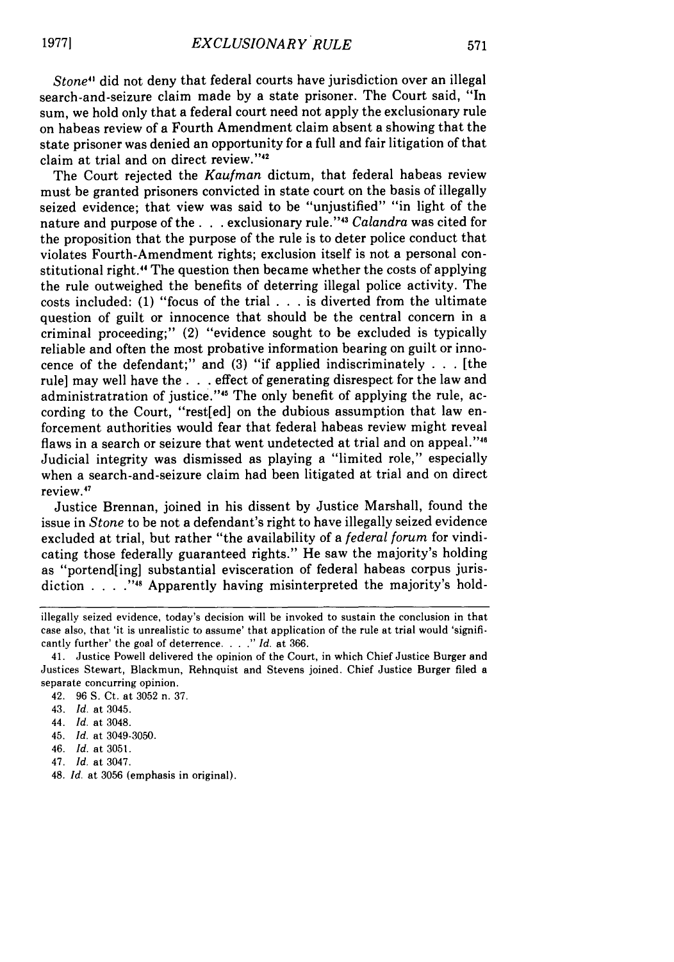571

*Stone"* did not deny that federal courts have jurisdiction over an illegal search-and-seizure claim made by a state prisoner. The Court said, "In sum, we hold only that a federal court need not apply the exclusionary rule on habeas review of a Fourth Amendment claim absent a showing that the state prisoner was denied an opportunity for a full and fair litigation of that claim at trial and on direct review."<sup>42</sup>

The Court rejected the *Kaufman* dictum, that federal habeas review must be granted prisoners convicted in state court on the basis of illegally seized evidence; that view was said to be "unjustified" "in light of the nature and purpose of the. **. .** exclusionary rule. <sup>4</sup> <sup>3</sup>*Calandra* was cited for the proposition that the purpose of the rule is to deter police conduct that violates Fourth-Amendment rights; exclusion itself is not a personal constitutional right." The question then became whether the costs of applying the rule outweighed the benefits of deterring illegal police activity. The costs included: (1) "focus of the trial . . . is diverted from the ultimate question of guilt or innocence that should be the central concern in a criminal proceeding;" (2) "evidence sought to be excluded is typically reliable and often the most probative information bearing on guilt or innocence of the defendant;" and (3) "if applied indiscriminately . . . [the rule] may well have the **. . .** effect of generating disrespect for the law and administratration of justice."45 The only benefit of applying the rule, according to the Court, "rest[ed] on the dubious assumption that law enforcement authorities would fear that federal habeas review might reveal flaws in a search or seizure that went undetected at trial and on appeal."<sup>46</sup> Judicial integrity was dismissed as playing a "limited role," especially when a search-and-seizure claim had been litigated at trial and on direct review.41

Justice Brennan, joined in his dissent by Justice Marshall, found the issue in *Stone* to be not a defendant's right to have illegally seized evidence excluded at trial, but rather "the availability of a *federal forum* for vindicating those federally guaranteed rights." He saw the majority's holding as "portend[ing] substantial evisceration of federal habeas corpus jurisdiction . **.** . **.""** Apparently having misinterpreted the majority's hold-

- 44. **Id.** at 3048.
- 45. *Id.* at 3049-3050.
- 46. Id. at 3051.
- 47. *Id.* at 3047.
- 48. *Id.* at 3056 (emphasis in original).

illegally seized evidence, today's decision will be invoked to sustain the conclusion in that case also, that 'it is unrealistic to assume' that application of the rule at trial would 'significantly further' the goal of deterrence. . . **."** *Id.* at 366.

<sup>41.</sup> Justice Powell delivered the opinion of the Court, in which Chief Justice Burger and Justices Stewart, Blackmun, Rehnquist and Stevens joined. Chief Justice Burger filed a separate concurring opinion.

<sup>42. 96</sup> S. Ct. at 3052 n. 37.

<sup>43.</sup> Id. at 3045.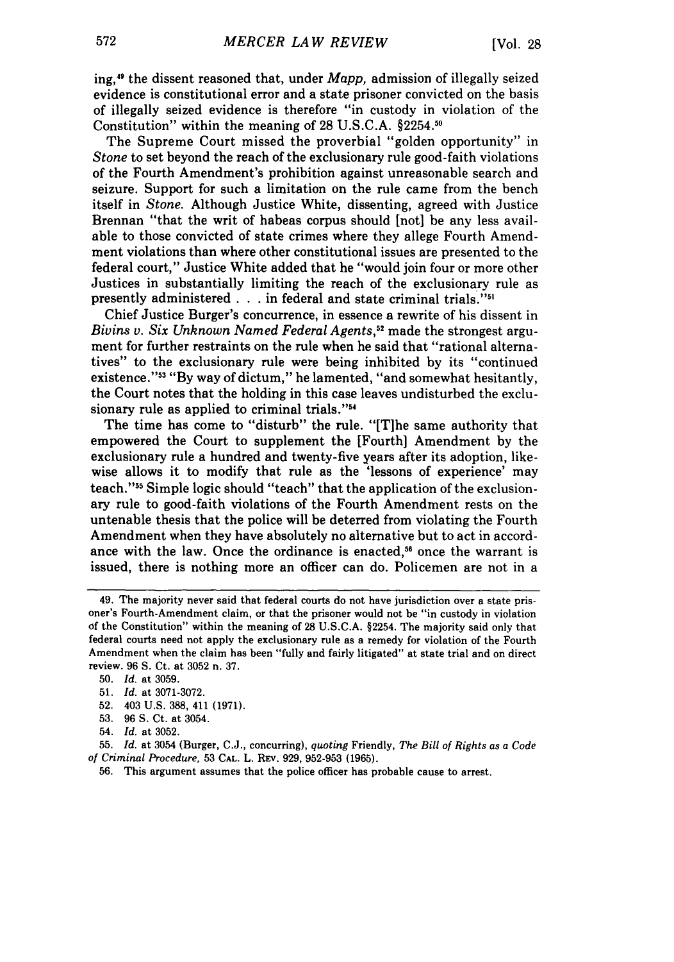ing,49 the dissent reasoned that, under *Mapp,* admission of illegally seized evidence is constitutional error and a state prisoner convicted on the basis of illegally seized evidence is therefore "in custody in violation of the Constitution" within the meaning of 28 U.S.C.A.  $§2254.^{50}$ 

The Supreme Court missed the proverbial "golden opportunity" in *Stone* to set beyond the reach of the exclusionary rule good-faith violations of the Fourth Amendment's prohibition against unreasonable search and seizure. Support for such a limitation on the rule came from the bench itself in *Stone.* Although Justice White, dissenting, agreed with Justice Brennan "that the writ of habeas corpus should [not] be any less available to those convicted of state crimes where they allege Fourth Amendment violations than where other constitutional issues are presented to the federal court," Justice White added that he "would join four or more other Justices in substantially limiting the reach of the exclusionary rule as presently administered **. . .** in federal and state criminal trials.'

Chief Justice Burger's concurrence, in essence a rewrite of his dissent in *Bivins* v. *Six Unknown Named Federal Agents,"* made the strongest argument for further restraints on the rule when he said that "rational alternatives" to the exclusionary rule were being inhibited **by** its "continued existence."<sup>33</sup> "By way of dictum," he lamented, "and somewhat hesitantly, the Court notes that the holding in this case leaves undisturbed the exclusionary rule as applied to criminal trials."<sup>54</sup>

The time has come to "disturb" the rule. "[Tihe same authority that empowered the Court to supplement the [Fourth] Amendment **by** the exclusionary rule a hundred and twenty-five years after its adoption, likewise allows it to modify that rule as the 'lessons of experience' may teach."55 Simple logic should "teach" that the application of the exclusionary rule to good-faith violations of the Fourth Amendment rests on the untenable thesis that the police will be deterred from violating the Fourth Amendment when they have absolutely no alternative but to act in accordance with the law. Once the ordinance is enacted,<sup>56</sup> once the warrant is issued, there is nothing more an officer can do. Policemen are not in a

**52.** 403 **U.S. 388,** 411 **(1971).**

<sup>49.</sup> The majority never said that federal courts do not have jurisdiction over a state prisoner's Fourth-Amendment claim, or that the prisoner would not be "in custody in violation of the Constitution" within the meaning of **28 U.S.C.A.** §2254. The majority said only that federal courts need not apply the exclusionary rule as a remedy for violation of the Fourth Amendment when the claim has been "fully and fairly litigated" at state trial and on direct review. **96 S.** Ct. at **3052** n. **37.**

**<sup>50.</sup>** *Id.* at **3059.**

**<sup>51.</sup>** *Id.* at **3071-3072.**

**<sup>53. 96</sup> S.** Ct. at 3054.

<sup>54.</sup> *Id.* at **3052.**

**<sup>55.</sup>** *Id.* at 3054 (Burger, **C.J.,** concurring), *quoting* Friendly, *The Bill of Rights as a Code of Criminal Procedure,* **53 CAL.** L. **REv. 929, 952-953 (1965).**

**<sup>56.</sup>** This argument assumes that the police officer has probable cause to arrest.